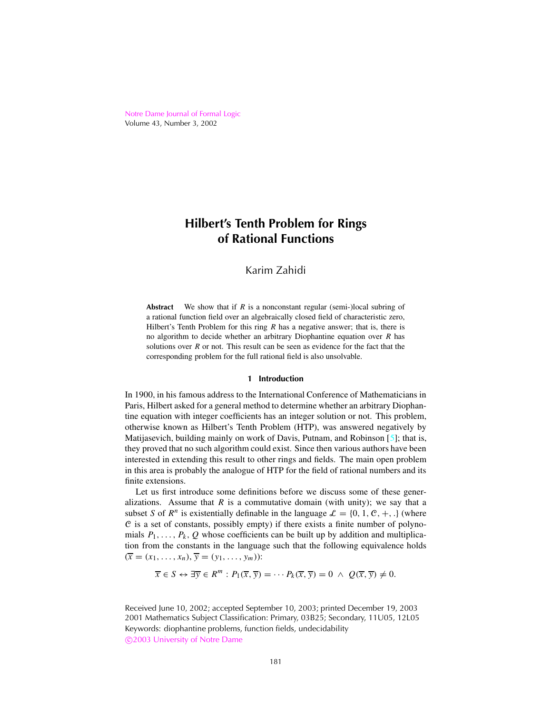<span id="page-0-0"></span>Notre Dame [Journal](http://www.nd.edu/~ndjfl) of Formal Logic Volume 43, Number 3, 2002

# **Hilbert's Tenth Problem for Rings of Rational Functions**

# Karim Zahidi

**Abstract** We show that if *R* is a nonconstant regular (semi-)local subring of a rational function field over an algebraically closed field of characteristic zero, Hilbert's Tenth Problem for this ring *R* has a negative answer; that is, there is no algorithm to decide whether an arbitrary Diophantine equation over *R* has solutions over *R* or not. This result can be seen as evidence for the fact that the corresponding problem for the full rational field is also unsolvable.

#### **1 Introduction**

In 1900, in his famous address to the International Conference of Mathematicians in Paris, Hilbert asked for a general method to determine whether an arbitrary Diophantine equation with integer coefficients has an integer solution or not. This problem, otherwise known as Hilbert's Tenth Problem (HTP), was answered negatively by Matijasevich, building mainly on work of Davis, Putnam, and Robinson  $[5]$ ; that is, they proved that no such algorithm could exist. Since then various authors have been interested in extending this result to other rings and fields. The main open problem in this area is probably the analogue of HTP for the field of rational numbers and its finite extensions.

Let us first introduce some definitions before we discuss some of these generalizations. Assume that  $R$  is a commutative domain (with unity); we say that a subset *S* of  $R^n$  is existentially definable in the language  $\mathcal{L} = \{0, 1, \mathcal{C}, +, \ldots\}$  (where  $C$  is a set of constants, possibly empty) if there exists a finite number of polynomials  $P_1, \ldots, P_k, Q$  whose coefficients can be built up by addition and multiplication from the constants in the language such that the following equivalence holds  $(\bar{x} = (x_1, \ldots, x_n), \bar{y} = (y_1, \ldots, y_m))$ :

$$
\overline{x} \in S \leftrightarrow \exists \overline{y} \in R^m : P_1(\overline{x}, \overline{y}) = \cdots P_k(\overline{x}, \overline{y}) = 0 \ \wedge \ Q(\overline{x}, \overline{y}) \neq 0.
$$

Received June 10, 2002; accepted September 10, 2003; printed December 19, 2003 2001 Mathematics Subject Classification: Primary, 03B25; Secondary, 11U05, 12L05 Keywords: diophantine problems, function fields, undecidability c 2003 [University](http://www.nd.edu) of Notre Dame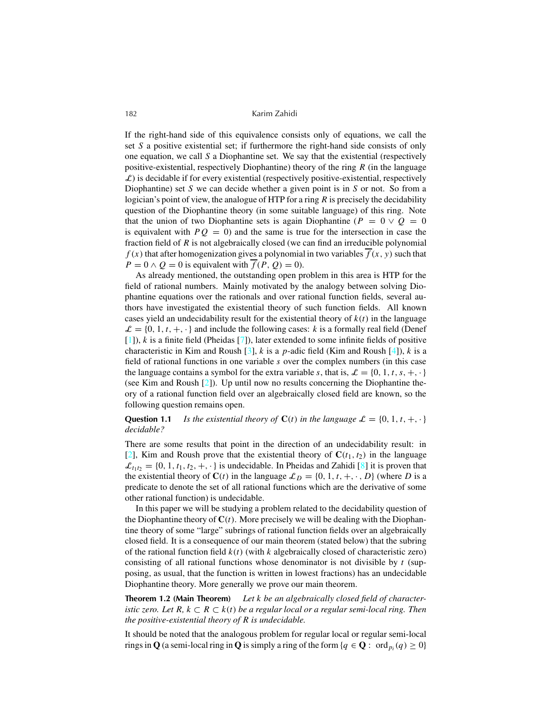<span id="page-1-0"></span>If the right-hand side of this equivalence consists only of equations, we call the set *S* a positive existential set; if furthermore the right-hand side consists of only one equation, we call *S* a Diophantine set. We say that the existential (respectively positive-existential, respectively Diophantine) theory of the ring *R* (in the language  $\mathcal{L}$ ) is decidable if for every existential (respectively positive-existential, respectively Diophantine) set *S* we can decide whether a given point is in *S* or not. So from a logician's point of view, the analogue of HTP for a ring *R* is precisely the decidability question of the Diophantine theory (in some suitable language) of this ring. Note that the union of two Diophantine sets is again Diophantine ( $P = 0 \vee Q = 0$ ) is equivalent with  $PQ = 0$  and the same is true for the intersection in case the fraction field of *R* is not algebraically closed (we can find an irreducible polynomial  $f(x)$  that after homogenization gives a polynomial in two variables  $\overline{f}(x, y)$  such that  $P = 0 \wedge Q = 0$  is equivalent with  $f(P, Q) = 0$ .

As already mentioned, the outstanding open problem in this area is HTP for the field of rational numbers. Mainly motivated by the analogy between solving Diophantine equations over the rationals and over rational function fields, several authors have investigated the existential theory of such function fields. All known cases yield an undecidability result for the existential theory of  $k(t)$  in the language  $\mathcal{L} = \{0, 1, t, +, \cdot\}$  and include the following cases: *k* is a formally real field (Denef [\[1\]](#page-10-0)), *k* is a finite field (Pheidas [\[7\]](#page-10-0)), later extended to some infinite fields of positive characteristic in Kim and Roush [\[3](#page-10-0)], *k* is a *p*-adic field (Kim and Roush [\[4\]](#page-10-0)), *k* is a field of rational functions in one variable *s* over the complex numbers (in this case the language contains a symbol for the extra variable *s*, that is,  $\mathcal{L} = \{0, 1, t, s, +, \cdot\}$ (see Kim and Roush [\[2](#page-10-0)]). Up until now no results concerning the Diophantine theory of a rational function field over an algebraically closed field are known, so the following question remains open.

**Question 1.1** *Is the existential theory of*  $C(t)$  *in the language*  $\mathcal{L} = \{0, 1, t, +, \cdot\}$ *decidable?*

There are some results that point in the direction of an undecidability result: in [\[2\]](#page-10-0), Kim and Roush prove that the existential theory of  $C(t_1, t_2)$  in the language  $\mathcal{L}_{t_1t_2} = \{0, 1, t_1, t_2, +, \cdot\}$  is undecidable. In Pheidas and Zahidi [\[8](#page-10-0)] it is proven that the existential theory of  $C(t)$  in the language  $\mathcal{L}_D = \{0, 1, t, +, \cdot, D\}$  (where *D* is a predicate to denote the set of all rational functions which are the derivative of some other rational function) is undecidable.

In this paper we will be studying a problem related to the decidability question of the Diophantine theory of  $C(t)$ . More precisely we will be dealing with the Diophantine theory of some "large" subrings of rational function fields over an algebraically closed field. It is a consequence of our main theorem (stated below) that the subring of the rational function field *k*(*t*) (with *k* algebraically closed of characteristic zero) consisting of all rational functions whose denominator is not divisible by  $t$  (supposing, as usual, that the function is written in lowest fractions) has an undecidable Diophantine theory. More generally we prove our main theorem.

**Theorem 1.2 (Main Theorem)** *Let k be an algebraically closed field of characteristic zero. Let*  $R$ ,  $k$  ⊂  $R$  ⊂  $k$ ( $t$ ) *be a regular local or a regular semi-local ring. Then the positive-existential theory of R is undecidable.*

It should be noted that the analogous problem for regular local or regular semi-local rings in **Q** (a semi-local ring in **Q** is simply a ring of the form { $q \in \mathbf{Q}$  :  $\text{ ord}_{p_i}(q) \ge 0$ }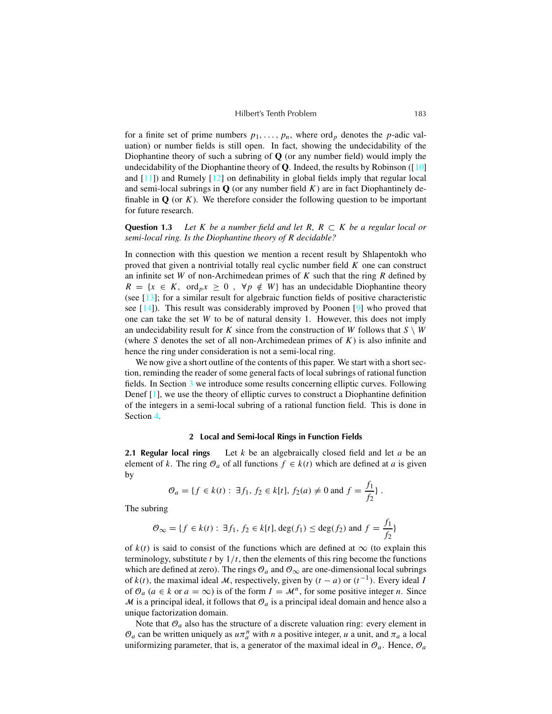<span id="page-2-0"></span>for a finite set of prime numbers  $p_1, \ldots, p_n$ , where ord<sub>p</sub> denotes the *p*-adic valuation) or number fields is still open. In fact, showing the undecidability of the Diophantine theory of such a subring of **Q** (or any number field) would imply the undecidability of the Diophantine theory of **Q**. Indeed, the results by Robinson ([\[10](#page-10-0)] and  $[11]$ ) and Rumely  $[12]$  $[12]$  on definability in global fields imply that regular local and semi-local subrings in  $Q$  (or any number field  $K$ ) are in fact Diophantinely definable in  $\bf{Q}$  (or  $\bf{K}$ ). We therefore consider the following question to be important for future research.

**Question 1.3** *Let*  $K$  *be a number field and let*  $R$ *,*  $R \subset K$  *be a regular local or semi-local ring. Is the Diophantine theory of R decidable?*

In connection with this question we mention a recent result by Shlapentokh who proved that given a nontrivial totally real cyclic number field *K* one can construct an infinite set *W* of non-Archimedean primes of *K* such that the ring *R* defined by  $R = \{x \in K, \text{ ord}_p x \geq 0, \forall p \notin W\}$  has an undecidable Diophantine theory (see [\[13](#page-10-0)]; for a similar result for algebraic function fields of positive characteristic see [\[14](#page-10-0)]). This result was considerably improved by Poonen [\[9](#page-10-0)] who proved that one can take the set *W* to be of natural density 1. However, this does not imply an undecidability result for *K* since from the construction of *W* follows that  $S \setminus W$ (where *S* denotes the set of all non-Archimedean primes of *K*) is also infinite and hence the ring under consideration is not a semi-local ring.

We now give a short outline of the contents of this paper. We start with a short section, reminding the reader of some general facts of local subrings of rational function fields. In Section [3](#page-3-0) we introduce some results concerning elliptic curves. Following Denef [\[1](#page-10-0)], we use the theory of elliptic curves to construct a Diophantine definition of the integers in a semi-local subring of a rational function field. This is done in Section [4.](#page-6-0)

#### **2 Local and Semi-local Rings in Function Fields**

**2.1 Regular local rings** Let *k* be an algebraically closed field and let *a* be an element of *k*. The ring  $\mathcal{O}_a$  of all functions  $f \in k(t)$  which are defined at *a* is given by

$$
\mathcal{O}_a = \{ f \in k(t) : \exists f_1, f_2 \in k[t], f_2(a) \neq 0 \text{ and } f = \frac{f_1}{f_2} \}.
$$

The subring

$$
\mathcal{O}_{\infty} = \{f \in k(t) : \exists f_1, f_2 \in k[t], \deg(f_1) \leq \deg(f_2) \text{ and } f = \frac{f_1}{f_2}\}
$$

of  $k(t)$  is said to consist of the functions which are defined at  $\infty$  (to explain this terminology, substitute  $t$  by  $1/t$ , then the elements of this ring become the functions which are defined at zero). The rings  $\mathcal{O}_a$  and  $\mathcal{O}_\infty$  are one-dimensional local subrings of  $k(t)$ , the maximal ideal M, respectively, given by  $(t - a)$  or  $(t^{-1})$ . Every ideal *I* of  $\mathcal{O}_a$  ( $a \in k$  or  $a = \infty$ ) is of the form  $I = \mathcal{M}^n$ , for some positive integer *n*. Since  $\mathcal M$  is a principal ideal, it follows that  $\mathcal O_a$  is a principal ideal domain and hence also a unique factorization domain.

Note that  $\mathcal{O}_a$  also has the structure of a discrete valuation ring: every element in  $\mathcal{O}_a$  can be written uniquely as  $u\pi_a^n$  with *n* a positive integer, *u* a unit, and  $\pi_a$  a local uniformizing parameter, that is, a generator of the maximal ideal in  $\mathcal{O}_a$ . Hence,  $\mathcal{O}_a$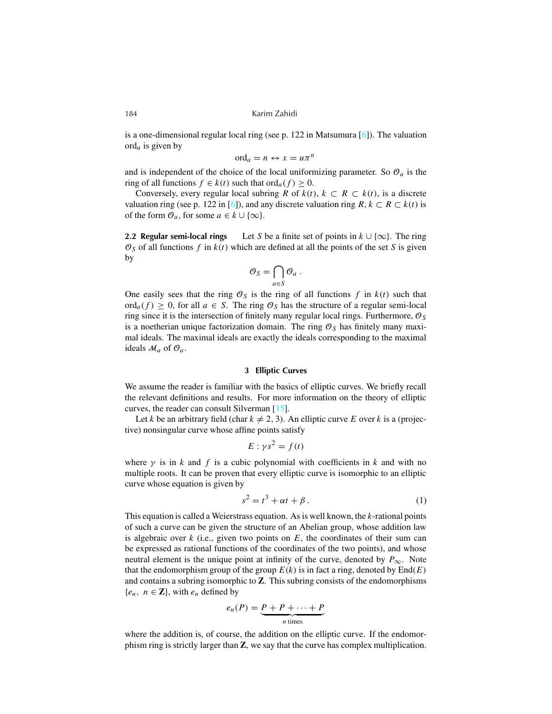is a one-dimensional regular local ring (see p. 122 in Matsumura  $[6]$ ). The valuation ord*a* is given by

$$
\mathrm{ord}_a = n \leftrightarrow x = u\pi^n
$$

and is independent of the choice of the local uniformizing parameter. So  $\mathcal{O}_a$  is the ring of all functions *f* ∈ *k*(*t*) such that ord<sub>*a*</sub>(*f*) ≥ 0.

Conversely, every regular local subring *R* of  $k(t)$ ,  $k \subset R \subset k(t)$ , is a discrete valuation ring (see p. 122 in [\[6](#page-10-0)]), and any discrete valuation ring  $R, k \subset R \subset k(t)$  is of the form  $\mathcal{O}_a$ , for some  $a \in k \cup \{\infty\}$ .

**2.2 Regular semi-local rings** Let *S* be a finite set of points in  $k \cup \{\infty\}$ . The ring  $\mathcal{O}_S$  of all functions  $f$  in  $k(t)$  which are defined at all the points of the set  $S$  is given by

$$
\mathcal{O}_S = \bigcap_{a \in S} \mathcal{O}_a \ .
$$

One easily sees that the ring  $\mathcal{O}_S$  is the ring of all functions f in  $k(t)$  such that ord<sub>a</sub> $(f) \geq 0$ , for all  $a \in S$ . The ring  $\mathcal{O}_S$  has the structure of a regular semi-local ring since it is the intersection of finitely many regular local rings. Furthermore,  $\mathcal{O}_S$ is a noetherian unique factorization domain. The ring  $\mathcal{O}_S$  has finitely many maximal ideals. The maximal ideals are exactly the ideals corresponding to the maximal ideals  $\mathcal{M}_a$  of  $\mathcal{O}_a$ .

#### **3 Elliptic Curves**

We assume the reader is familiar with the basics of elliptic curves. We briefly recall the relevant definitions and results. For more information on the theory of elliptic curves, the reader can consult Silverman [\[15\]](#page-10-0).

Let *k* be an arbitrary field (char  $k \neq 2, 3$ ). An elliptic curve *E* over *k* is a (projective) nonsingular curve whose affine points satisfy

$$
E: \gamma s^2 = f(t)
$$

where  $\gamma$  is in *k* and *f* is a cubic polynomial with coefficients in *k* and with no multiple roots. It can be proven that every elliptic curve is isomorphic to an elliptic curve whose equation is given by

$$
s^2 = t^3 + \alpha t + \beta. \tag{1}
$$

This equation is called a Weierstrass equation. As is well known, the *k*-rational points of such a curve can be given the structure of an Abelian group, whose addition law is algebraic over  $k$  (i.e., given two points on  $E$ , the coordinates of their sum can be expressed as rational functions of the coordinates of the two points), and whose neutral element is the unique point at infinity of the curve, denoted by  $P_{\infty}$ . Note that the endomorphism group of the group  $E(k)$  is in fact a ring, denoted by  $End(E)$ and contains a subring isomorphic to **Z**. This subring consists of the endomorphisms  ${e_n, n \in \mathbb{Z}}$ , with  $e_n$  defined by

$$
e_n(P) = \underbrace{P + P + \cdots + P}_{n \text{ times}}
$$

where the addition is, of course, the addition on the elliptic curve. If the endomorphism ring is strictly larger than **Z**, we say that the curve has complex multiplication.

<span id="page-3-0"></span>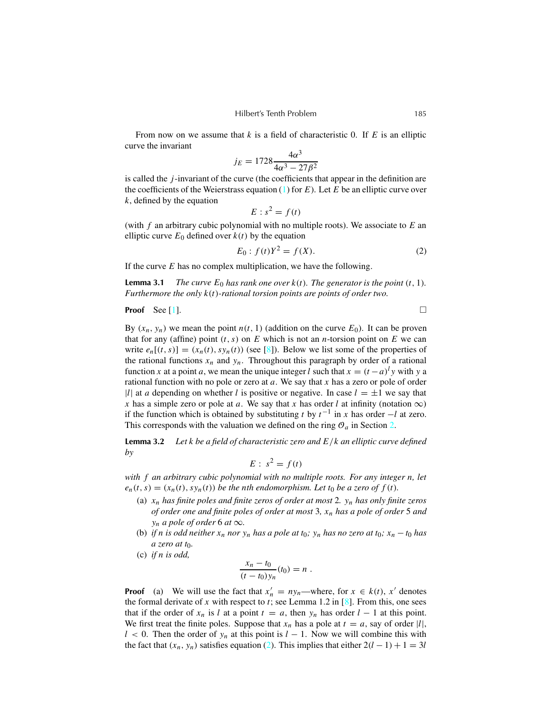<span id="page-4-0"></span>From now on we assume that *k* is a field of characteristic 0. If *E* is an elliptic curve the invariant

$$
j_E = 1728 \frac{4\alpha^3}{4\alpha^3 - 27\beta^2}
$$

is called the *j*-invariant of the curve (the coefficients that appear in the definition are the coefficients of the Weierstrass equation [\(1\)](#page-3-0) for *E*). Let *E* be an elliptic curve over *k*, defined by the equation

$$
E: s^2 = f(t)
$$

(with *f* an arbitrary cubic polynomial with no multiple roots). We associate to *E* an elliptic curve  $E_0$  defined over  $k(t)$  by the equation

$$
E_0: f(t)Y^2 = f(X).
$$
 (2)

If the curve *E* has no complex multiplication, we have the following.

**Lemma** 3.1 *The curve*  $E_0$  *has rank one over*  $k(t)$ *. The generator is the point*  $(t, 1)$ *. Furthermore the only k*(*t*)*-rational torsion points are points of order two.*

**Proof** See [\[1](#page-10-0)]. □

By  $(x_n, y_n)$  we mean the point  $n(t, 1)$  (addition on the curve  $E_0$ ). It can be proven that for any (affine) point  $(t, s)$  on  $E$  which is not an *n*-torsion point on  $E$  we can write  $e_n[(t, s)] = (x_n(t), sy_n(t))$  (see [\[8\]](#page-10-0)). Below we list some of the properties of the rational functions  $x_n$  and  $y_n$ . Throughout this paragraph by order of a rational function *x* at a point *a*, we mean the unique integer *l* such that  $x = (t - a)^l y$  with y a rational function with no pole or zero at *a*. We say that *x* has a zero or pole of order |*l*| at *a* depending on whether *l* is positive or negative. In case  $l = \pm 1$  we say that *x* has a simple zero or pole at *a*. We say that *x* has order *l* at infinity (notation  $\infty$ ) if the function which is obtained by substituting *t* by  $t^{-1}$  in *x* has order  $-l$  at zero. This corresponds with the valuation we defined on the ring  $\mathcal{O}_a$  in Section [2.](#page-2-0)

**Lemma 3.2** *Let k be a field of characteristic zero and E*/*k an elliptic curve defined by*

$$
E: s^2 = f(t)
$$

*with f an arbitrary cubic polynomial with no multiple roots. For any integer n, let*  $e_n(t,s) = (x_n(t), sy_n(t))$  be the nth endomorphism. Let t<sub>0</sub> be a zero of  $f(t)$ .

- (a) *x<sup>n</sup> has finite poles and finite zeros of order at most* 2*. y<sup>n</sup> has only finite zeros of order one and finite poles of order at most* 3*, x<sup>n</sup> has a pole of order* 5 *and y*<sup>*n*</sup> *a pole of order* 6 *at*  $\infty$ *.*
- (b) if n is odd neither  $x_n$  nor  $y_n$  has a pole at  $t_0$ ;  $y_n$  has no zero at  $t_0$ ;  $x_n t_0$  has *a zero at t*0*.*
- (c) *if n is odd,*

$$
\frac{x_n - t_0}{(t - t_0)y_n}(t_0) = n.
$$

**Proof** (a) We will use the fact that  $x'_n = ny_n$ —where, for  $x \in k(t)$ ,  $x'$  denotes the formal derivate of x with respect to  $t$ ; see Lemma 1.2 in  $[8]$  $[8]$ . From this, one sees that if the order of  $x_n$  is *l* at a point  $t = a$ , then  $y_n$  has order  $l - 1$  at this point. We first treat the finite poles. Suppose that  $x_n$  has a pole at  $t = a$ , say of order  $|l|$ ,  $l$  < 0. Then the order of  $y_n$  at this point is  $l - 1$ . Now we will combine this with the fact that  $(x_n, y_n)$  satisfies equation (2). This implies that either  $2(l - 1) + 1 = 3l$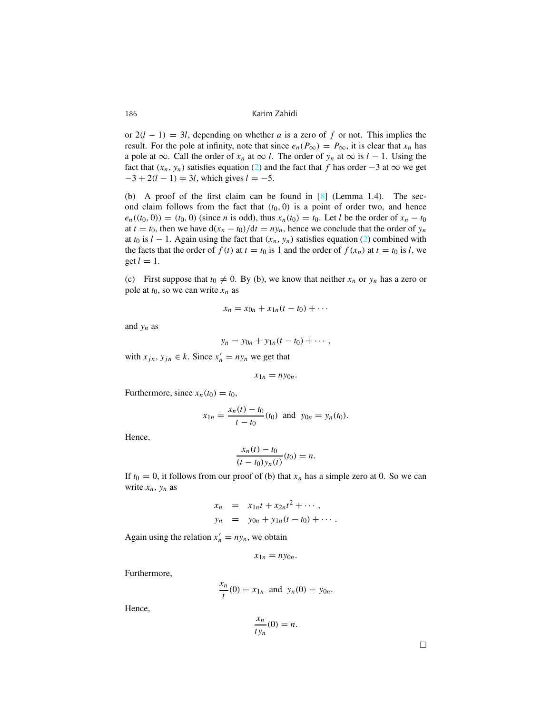or  $2(l - 1) = 3l$ , depending on whether *a* is a zero of *f* or not. This implies the result. For the pole at infinity, note that since  $e_n(P_\infty) = P_\infty$ , it is clear that  $x_n$  has a pole at  $\infty$ . Call the order of  $x_n$  at  $\infty$  *l*. The order of  $y_n$  at  $\infty$  is  $l-1$ . Using the fact that  $(x_n, y_n)$  satisfies equation [\(2\)](#page-4-0) and the fact that *f* has order  $-3$  at  $\infty$  we get  $-3 + 2(l - 1) = 3l$ , which gives  $l = -5$ .

(b) A proof of the first claim can be found in  $[8]$  $[8]$  (Lemma 1.4). The second claim follows from the fact that  $(t_0, 0)$  is a point of order two, and hence  $e_n((t_0, 0)) = (t_0, 0)$  (since *n* is odd), thus  $x_n(t_0) = t_0$ . Let *l* be the order of  $x_n - t_0$ at  $t = t_0$ , then we have  $d(x_n - t_0)/dt = ny_n$ , hence we conclude that the order of  $y_n$ at  $t_0$  is  $l - 1$ . Again using the fact that  $(x_n, y_n)$  satisfies equation [\(2\)](#page-4-0) combined with the facts that the order of  $f(t)$  at  $t = t_0$  is 1 and the order of  $f(x_n)$  at  $t = t_0$  is *l*, we get  $l = 1$ .

(c) First suppose that  $t_0 \neq 0$ . By (b), we know that neither  $x_n$  or  $y_n$  has a zero or pole at  $t_0$ , so we can write  $x_n$  as

$$
x_n = x_{0n} + x_{1n}(t-t_0) + \cdots
$$

and *y<sup>n</sup>* as

$$
y_n = y_{0n} + y_{1n}(t-t_0) + \cdots,
$$

with  $x_{jn}$ ,  $y_{jn} \in k$ . Since  $x'_n = ny_n$  we get that

$$
x_{1n}=ny_{0n}.
$$

Furthermore, since  $x_n(t_0) = t_0$ ,

$$
x_{1n} = \frac{x_n(t) - t_0}{t - t_0}(t_0) \text{ and } y_{0n} = y_n(t_0).
$$

Hence,

$$
\frac{x_n(t) - t_0}{(t - t_0)y_n(t)}(t_0) = n.
$$

If  $t_0 = 0$ , it follows from our proof of (b) that  $x_n$  has a simple zero at 0. So we can write  $x_n$ ,  $y_n$  as

$$
x_n = x_{1n}t + x_{2n}t^2 + \cdots,
$$
  
\n
$$
y_n = y_{0n} + y_{1n}(t - t_0) + \cdots.
$$

Again using the relation  $x'_n = ny_n$ , we obtain

$$
x_{1n}=ny_{0n}.
$$

Furthermore,

$$
\frac{x_n}{t}(0) = x_{1n} \text{ and } y_n(0) = y_{0n}.
$$

Hence,

$$
\frac{x_n}{ty_n}(0) = n.
$$

 $\Box$ 

<span id="page-5-0"></span>
$$
186 \\
$$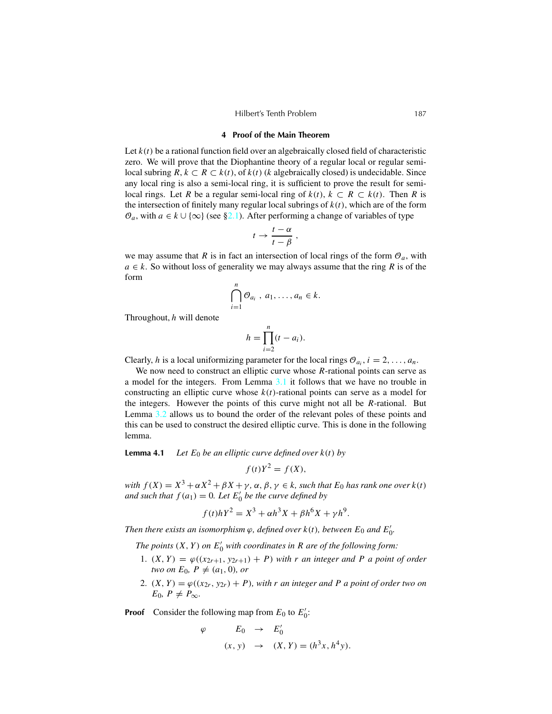#### Hilbert's Tenth Problem 187

#### **4 Proof of the Main Theorem**

<span id="page-6-0"></span>Let  $k(t)$  be a rational function field over an algebraically closed field of characteristic zero. We will prove that the Diophantine theory of a regular local or regular semilocal subring *R*, *k* ⊂ *R* ⊂ *k*(*t*), of *k*(*t*) (*k* algebraically closed) is undecidable. Since any local ring is also a semi-local ring, it is sufficient to prove the result for semilocal rings. Let *R* be a regular semi-local ring of  $k(t)$ ,  $k \subset R \subset k(t)$ . Then *R* is the intersection of finitely many regular local subrings of *k*(*t*), which are of the form  $\mathcal{O}_a$ , with *a* ∈ *k* ∪ {∞} (see [§2.1\)](#page-2-0). After performing a change of variables of type

$$
t \to \frac{t-\alpha}{t-\beta} ,
$$

we may assume that *R* is in fact an intersection of local rings of the form  $\mathcal{O}_a$ , with  $a \in k$ . So without loss of generality we may always assume that the ring *R* is of the form

$$
\bigcap_{i=1}^n \mathcal{O}_{a_i},\,a_1,\ldots,a_n\in k.
$$

Throughout, *h* will denote

$$
h = \prod_{i=2}^{n} (t - a_i).
$$

Clearly, *h* is a local uniformizing parameter for the local rings  $\mathcal{O}_{a_i}$ ,  $i = 2, \ldots, a_n$ .

We now need to construct an elliptic curve whose *R*-rational points can serve as a model for the integers. From Lemma [3.1](#page-4-0) it follows that we have no trouble in constructing an elliptic curve whose  $k(t)$ -rational points can serve as a model for the integers. However the points of this curve might not all be *R*-rational. But Lemma [3.2](#page-4-0) allows us to bound the order of the relevant poles of these points and this can be used to construct the desired elliptic curve. This is done in the following lemma.

**Lemma 4.1** *Let*  $E_0$  *be an elliptic curve defined over*  $k(t)$  *by* 

$$
f(t)Y^2 = f(X),
$$

*with*  $f(X) = X^3 + \alpha X^2 + \beta X + \gamma$ ,  $\alpha, \beta, \gamma \in k$ , such that  $E_0$  has rank one over  $k(t)$ *and* such that  $f(a_1) = 0$ . Let  $E'_0$  be the curve defined by

$$
f(t)hY^2 = X^3 + \alpha h^3 X + \beta h^6 X + \gamma h^9.
$$

*Then there exists an isomorphism*  $\varphi$ *, defined over*  $k(t)$ *, between*  $E_0$  *and*  $E'_0$ *.* 

*The points*  $(X, Y)$  *on*  $E'_0$  *with coordinates in R are of the following form:* 

- 1.  $(X, Y) = \varphi((x_{2r+1}, y_{2r+1}) + P)$  *with r an integer and P a point of order two on*  $E_0$ ,  $P \neq (a_1, 0)$ *, or*
- 2.  $(X, Y) = \varphi((x_2, y_2) + P)$ , with *r* an integer and *P* a point of order two on  $E_0$ ,  $P \neq P_{\infty}$ .

**Proof** Consider the following map from  $E_0$  to  $E'_0$ :

$$
\varphi \qquad E_0 \rightarrow E'_0
$$
  
(x, y) 
$$
\rightarrow (X, Y) = (h^3 x, h^4 y).
$$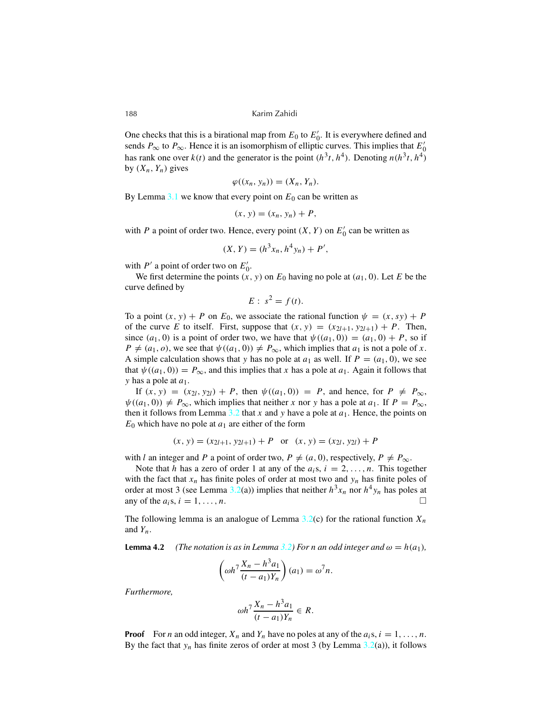One checks that this is a birational map from  $E_0$  to  $E'_0$ . It is everywhere defined and sends  $P_{\infty}$  to  $P_{\infty}$ . Hence it is an isomorphism of elliptic curves. This implies that  $E'_0$ has rank one over  $k(t)$  and the generator is the point  $(h^3t, h^4)$ . Denoting  $n(h^3t, h^4)$ by  $(X_n, Y_n)$  gives

$$
\varphi((x_n, y_n)) = (X_n, Y_n).
$$

By Lemma  $3.1$  we know that every point on  $E_0$  can be written as

$$
(x, y) = (x_n, y_n) + P,
$$

with *P* a point of order two. Hence, every point  $(X, Y)$  on  $E'_0$  can be written as

$$
(X, Y) = (h^3 x_n, h^4 y_n) + P',
$$

with  $P'$  a point of order two on  $E'_0$ .

We first determine the points  $(x, y)$  on  $E_0$  having no pole at  $(a_1, 0)$ . Let *E* be the curve defined by

$$
E: s^2 = f(t).
$$

To a point  $(x, y) + P$  on  $E_0$ , we associate the rational function  $\psi = (x, sy) + P$ of the curve *E* to itself. First, suppose that  $(x, y) = (x_{2l+1}, y_{2l+1}) + P$ . Then, since  $(a_1, 0)$  is a point of order two, we have that  $\psi((a_1, 0)) = (a_1, 0) + P$ , so if  $P \neq (a_1, o)$ , we see that  $\psi((a_1, 0)) \neq P_{\infty}$ , which implies that  $a_1$  is not a pole of *x*. A simple calculation shows that *y* has no pole at  $a_1$  as well. If  $P = (a_1, 0)$ , we see that  $\psi((a_1, 0)) = P_{\infty}$ , and this implies that *x* has a pole at  $a_1$ . Again it follows that *y* has a pole at *a*1.

If  $(x, y) = (x_{2l}, y_{2l}) + P$ , then  $\psi((a_1, 0)) = P$ , and hence, for  $P \neq P_{\infty}$ ,  $\psi((a_1, 0)) \neq P_{\infty}$ , which implies that neither *x* nor *y* has a pole at  $a_1$ . If  $P = P_{\infty}$ , then it follows from Lemma  $3.2$  that x and y have a pole at  $a_1$ . Hence, the points on  $E_0$  which have no pole at  $a_1$  are either of the form

$$
(x, y) = (x_{2l+1}, y_{2l+1}) + P
$$
 or  $(x, y) = (x_{2l}, y_{2l}) + P$ 

with *l* an integer and *P* a point of order two,  $P \neq (a, 0)$ , respectively,  $P \neq P_{\infty}$ .

Note that *h* has a zero of order 1 at any of the  $a_i s$ ,  $i = 2, \ldots, n$ . This together with the fact that  $x_n$  has finite poles of order at most two and  $y_n$  has finite poles of order at most 3 (see Lemma  $3.2(a)$  $3.2(a)$ ) implies that neither  $h^3x_n$  nor  $h^4y_n$  has poles at any of the  $a_i$ s,  $i = 1, ..., n$ .

The following lemma is an analogue of Lemma  $3.2(c)$  $3.2(c)$  for the rational function  $X_n$ and *Yn*.

**Lemma** 4.2 *(The notation is as in Lemma [3.2\)](#page-4-0)* For *n* an odd integer and  $\omega = h(a_1)$ *,* 

$$
\left(\omega h^7 \frac{X_n - h^3 a_1}{(t - a_1)Y_n}\right)(a_1) = \omega^7 n.
$$

*Furthermore,*

$$
\omega h^7 \frac{X_n - h^3 a_1}{(t - a_1)Y_n} \in R.
$$

**Proof** For *n* an odd integer,  $X_n$  and  $Y_n$  have no poles at any of the  $a_i s, i = 1, \ldots, n$ . By the fact that  $y_n$  has finite zeros of order at most 3 (by Lemma  $3.2(a)$  $3.2(a)$ ), it follows

<span id="page-7-0"></span>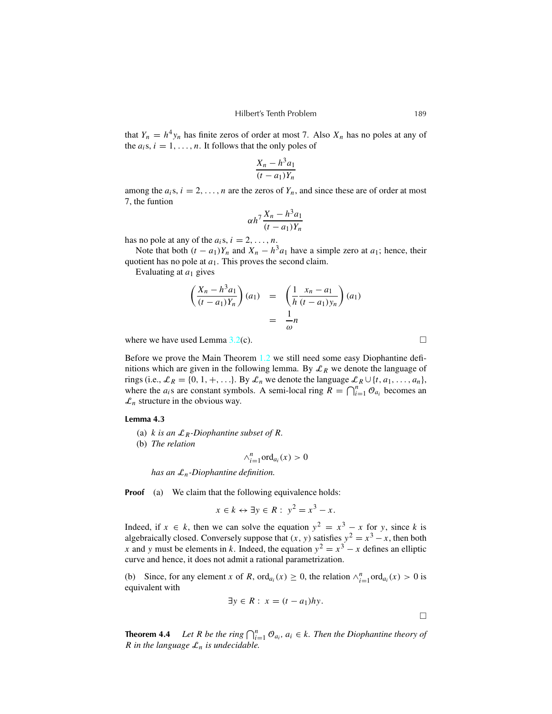<span id="page-8-0"></span>that  $Y_n = h^4 y_n$  has finite zeros of order at most 7. Also  $X_n$  has no poles at any of the  $a_i s, i = 1, \ldots, n$ . It follows that the only poles of

$$
\frac{X_n - h^3 a_1}{(t - a_1)Y_n}
$$

among the  $a_i s, i = 2, \ldots, n$  are the zeros of  $Y_n$ , and since these are of order at most 7, the funtion

$$
\alpha h^7 \frac{X_n - h^3 a_1}{(t - a_1)Y_n}
$$

has no pole at any of the  $a_i$ s,  $i = 2, \ldots, n$ .

Note that both  $(t - a_1)Y_n$  and  $X_n - h^3a_1$  have a simple zero at  $a_1$ ; hence, their quotient has no pole at  $a_1$ . This proves the second claim.

Evaluating at *a*<sup>1</sup> gives

$$
\left(\frac{X_n - h^3 a_1}{(t - a_1)Y_n}\right)(a_1) = \left(\frac{1}{h} \frac{x_n - a_1}{(t - a_1)y_n}\right)(a_1)
$$

$$
= \frac{1}{\omega}n
$$

where we have used Lemma  $3.2(c)$  $3.2(c)$ .

Before we prove the Main Theorem [1.2](#page-1-0) we still need some easy Diophantine definitions which are given in the following lemma. By  $\mathcal{L}_R$  we denote the language of rings (i.e.,  $\mathcal{L}_R = \{0, 1, +, \ldots\}$ ). By  $\mathcal{L}_n$  we denote the language  $\mathcal{L}_R \cup \{t, a_1, \ldots, a_n\}$ , where the  $a_i$ s are constant symbols. A semi-local ring  $R = \bigcap_{i=1}^n \mathcal{O}_{a_i}$  becomes an  $\mathcal{L}_n$  structure in the obvious way.

#### **Lemma 4.3**

- (a)  $k$  *is an*  $\mathcal{L}_R$ -Diophantine subset of R.
- (b) *The relation*

$$
\wedge_{i=1}^n \text{ord}_{a_i}(x) > 0
$$

*has an* L*n-Diophantine definition.*

**Proof** (a) We claim that the following equivalence holds:

$$
x \in k \leftrightarrow \exists y \in R: \ y^2 = x^3 - x.
$$

Indeed, if  $x \in k$ , then we can solve the equation  $y^2 = x^3 - x$  for *y*, since *k* is algebraically closed. Conversely suppose that  $(x, y)$  satisfies  $y^2 = x^3 - x$ , then both *x* and *y* must be elements in *k*. Indeed, the equation  $y^2 = x^3 - x$  defines an elliptic curve and hence, it does not admit a rational parametrization.

(b) Since, for any element *x* of *R*, ord<sub>*ai*</sub>(*x*)  $\geq$  0, the relation  $\wedge_{i=1}^{n}$  ord<sub>*ai*</sub>(*x*)  $>$  0 is equivalent with

$$
\exists y \in R : x = (t - a_1)hy.
$$

**Theorem 4.4** *Let R be the ring*  $\bigcap_{i=1}^n \mathcal{O}_{a_i}$ *,*  $a_i \in k$ *. Then the Diophantine theory of R* in the language  $\mathcal{L}_n$  *is undecidable.* 

 $\Box$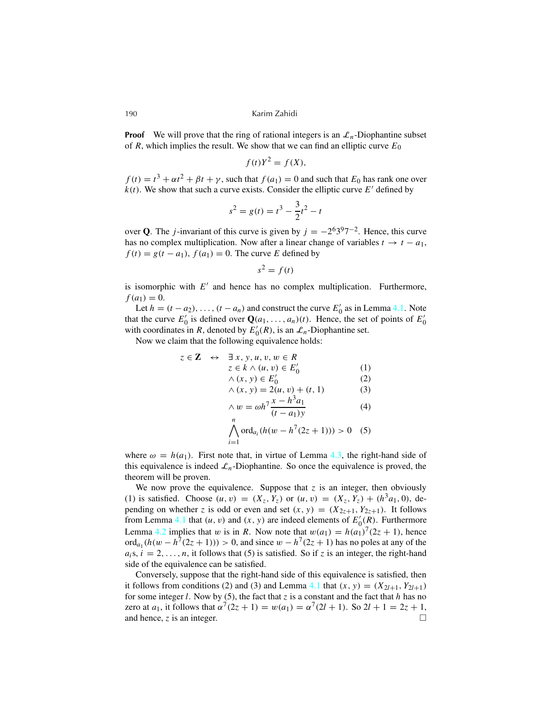**Proof** We will prove that the ring of rational integers is an  $\mathcal{L}_n$ -Diophantine subset of  $R$ , which implies the result. We show that we can find an elliptic curve  $E_0$ 

$$
f(t)Y^2 = f(X),
$$

 $f(t) = t^3 + \alpha t^2 + \beta t + \gamma$ , such that  $f(a_1) = 0$  and such that  $E_0$  has rank one over  $k(t)$ . We show that such a curve exists. Consider the elliptic curve  $E'$  defined by

$$
s^2 = g(t) = t^3 - \frac{3}{2}t^2 - t
$$

over **Q**. The *j*-invariant of this curve is given by  $j = -2^6 3^9 7^{-2}$ . Hence, this curve has no complex multiplication. Now after a linear change of variables  $t \to t - a_1$ ,  $f(t) = g(t - a_1)$ ,  $f(a_1) = 0$ . The curve *E* defined by

$$
s^2 = f(t)
$$

is isomorphic with  $E'$  and hence has no complex multiplication. Furthermore,  $f(a_1) = 0.$ 

Let  $h = (t - a_2), \ldots, (t - a_n)$  and construct the curve  $E'_0$  as in Lemma [4.1.](#page-6-0) Note that the curve  $E'_0$  is defined over  $\mathbf{Q}(a_1, \ldots, a_n)(t)$ . Hence, the set of points of  $E'_0$ with coordinates in *R*, denoted by  $E'_0(R)$ , is an  $\mathcal{L}_n$ -Diophantine set.

Now we claim that the following equivalence holds:

$$
z \in \mathbf{Z} \leftrightarrow \exists x, y, u, v, w \in R
$$
  
\n
$$
z \in k \land (u, v) \in E'_0
$$
  
\n
$$
\land (x, y) \in E'_0
$$
  
\n
$$
\land (x, y) = 2(u, v) + (t, 1)
$$
  
\n
$$
\land w = \omega h^7 \frac{x - h^3 a_1}{(t - a_1)y}
$$
  
\n
$$
\bigwedge_{i=1}^n \text{ord}_{a_i} (h(w - h^7 (2z + 1))) > 0 \quad (5)
$$

where  $\omega = h(a_1)$ . First note that, in virtue of Lemma [4.3,](#page-8-0) the right-hand side of this equivalence is indeed  $\mathcal{L}_n$ -Diophantine. So once the equivalence is proved, the theorem will be proven.

We now prove the equivalence. Suppose that  $z$  is an integer, then obviously (1) is satisfied. Choose  $(u, v) = (X_z, Y_z)$  or  $(u, v) = (X_z, Y_z) + (h^3 a_1, 0)$ , depending on whether *z* is odd or even and set  $(x, y) = (X_{2z+1}, Y_{2z+1})$ . It follows from Lemma [4.1](#page-6-0) that  $(u, v)$  and  $(x, y)$  are indeed elements of  $E'_0(\mathbf{R})$ . Furthermore Lemma [4.2](#page-7-0) implies that w is in *R*. Now note that  $w(a_1) = h(a_1)^7(2z + 1)$ , hence ord<sub>a<sub>1</sub></sub> $(h(w - h^7(2z + 1))) > 0$ , and since  $w - h^7(2z + 1)$  has no poles at any of the  $a_i$ s,  $i = 2, \ldots, n$ , it follows that (5) is satisfied. So if *z* is an integer, the right-hand side of the equivalence can be satisfied.

Conversely, suppose that the right-hand side of this equivalence is satisfied, then it follows from conditions (2) and (3) and Lemma [4.1](#page-6-0) that  $(x, y) = (X_{2l+1}, Y_{2l+1})$ for some integer *l*. Now by (5), the fact that  $\zeta$  is a constant and the fact that *h* has no zero at  $a_1$ , it follows that  $\alpha^7(2z + 1) = w(a_1) = \alpha^7(2l + 1)$ . So  $2l + 1 = 2z + 1$ , and hence, *z* is an integer.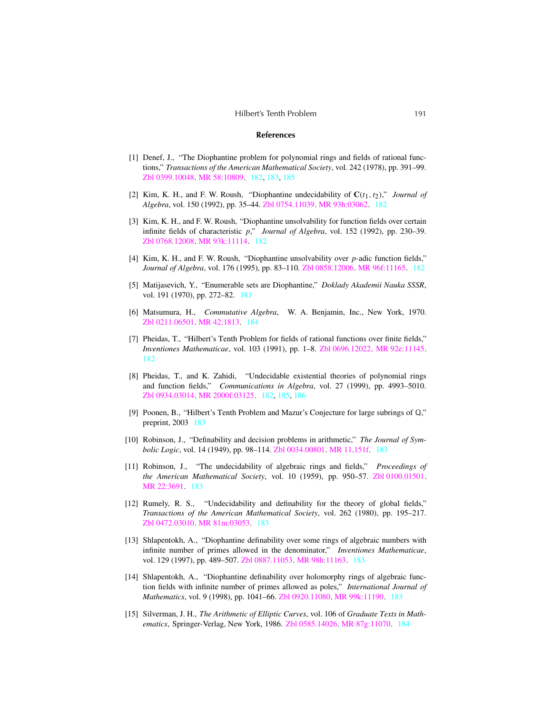#### **References**

- <span id="page-10-0"></span>[1] Denef, J., "The Diophantine problem for polynomial rings and fields of rational functions," *Transactions of the American Mathematical Society*, vol. 242 (1978), pp. 391–99. Zbl [0399.10048.](http://www.emis.de/cgi-bin/MATH-item?0399.10048) MR [58:10809.](http://www.ams.org/mathscinet-getitem?mr=58:10809) [182,](#page-1-0) [183,](#page-2-0) [185](#page-4-0)
- [2] Kim, K. H., and F. W. Roush, "Diophantine undecidability of  $C(t_1, t_2)$ ," *Journal of Algebra*, vol. 150 (1992), pp. 35–44. Zbl [0754.11039.](http://www.emis.de/cgi-bin/MATH-item?0754.11039) MR [93h:03062.](http://www.ams.org/mathscinet-getitem?mr=93h:03062) [182](#page-1-0)
- [3] Kim, K. H., and F. W. Roush, "Diophantine unsolvability for function fields over certain infinite fields of characteristic *p*," *Journal of Algebra*, vol. 152 (1992), pp. 230–39. Zbl [0768.12008.](http://www.emis.de/cgi-bin/MATH-item?0768.12008) MR [93k:11114.](http://www.ams.org/mathscinet-getitem?mr=93k:11114) [182](#page-1-0)
- [4] Kim, K. H., and F. W. Roush, "Diophantine unsolvability over *p*-adic function fields," *Journal of Algebra*, vol. 176 (1995), pp. 83–110. Zbl [0858.12006.](http://www.emis.de/cgi-bin/MATH-item?0858.12006) MR [96f:11165.](http://www.ams.org/mathscinet-getitem?mr=96f:11165) [182](#page-1-0)
- [5] Matijasevich, Y., "Enumerable sets are Diophantine," *Doklady Akademii Nauka SSSR*, vol. 191 (1970), pp. 272–82. [181](#page-0-0)
- [6] Matsumura, H., *Commutative Algebra*, W. A. Benjamin, Inc., New York, 1970. Zbl [0211.06501.](http://www.emis.de/cgi-bin/MATH-item?0211.06501) MR [42:1813.](http://www.ams.org/mathscinet-getitem?mr=42:1813) [184](#page-3-0)
- [7] Pheidas, T., "Hilbert's Tenth Problem for fields of rational functions over finite fields," *Inventiones Mathematicae*, vol. 103 (1991), pp. 1–8. Zbl [0696.12022.](http://www.emis.de/cgi-bin/MATH-item?0696.12022) MR [92e:11145.](http://www.ams.org/mathscinet-getitem?mr=92e:11145) [182](#page-1-0)
- [8] Pheidas, T., and K. Zahidi, "Undecidable existential theories of polynomial rings and function fields," *Communications in Algebra*, vol. 27 (1999), pp. 4993–5010. Zbl [0934.03014.](http://www.emis.de/cgi-bin/MATH-item?0934.03014) MR [2000f:03125.](http://www.ams.org/mathscinet-getitem?mr=2000f:03125) [182,](#page-1-0) [185,](#page-4-0) [186](#page-5-0)
- [9] Poonen, B., "Hilbert's Tenth Problem and Mazur's Conjecture for large subrings of Q," preprint, 2003 [183](#page-2-0)
- [10] Robinson, J., "Definability and decision problems in arithmetic," *The Journal of Symbolic Logic*, vol. 14 (1949), pp. 98–114. Zbl [0034.00801.](http://www.emis.de/cgi-bin/MATH-item?0034.00801) MR [11,151f.](http://www.ams.org/mathscinet-getitem?mr=11,151f) [183](#page-2-0)
- [11] Robinson, J., "The undecidability of algebraic rings and fields," *Proceedings of the American Mathematical Society*, vol. 10 (1959), pp. 950–57. Zbl [0100.01501.](http://www.emis.de/cgi-bin/MATH-item?0100.01501) MR [22:3691.](http://www.ams.org/mathscinet-getitem?mr=22:3691) [183](#page-2-0)
- [12] Rumely, R. S., "Undecidability and definability for the theory of global fields," *Transactions of the American Mathematical Society*, vol. 262 (1980), pp. 195–217. Zbl [0472.03010.](http://www.emis.de/cgi-bin/MATH-item?0472.03010) MR [81m:03053.](http://www.ams.org/mathscinet-getitem?mr=81m:03053) [183](#page-2-0)
- [13] Shlapentokh, A., "Diophantine definability over some rings of algebraic numbers with infinite number of primes allowed in the denominator," *Inventiones Mathematicae*, vol. 129 (1997), pp. 489–507. Zbl [0887.11053.](http://www.emis.de/cgi-bin/MATH-item?0887.11053) MR [98h:11163.](http://www.ams.org/mathscinet-getitem?mr=98h:11163) [183](#page-2-0)
- [14] Shlapentokh, A., "Diophantine definability over holomorphy rings of algebraic function fields with infinite number of primes allowed as poles," *International Journal of Mathematics*, vol. 9 (1998), pp. 1041–66. Zbl [0920.11080.](http://www.emis.de/cgi-bin/MATH-item?0920.11080) MR [99k:11190.](http://www.ams.org/mathscinet-getitem?mr=99k:11190) [183](#page-2-0)
- [15] Silverman, J. H., *The Arithmetic of Elliptic Curves*, vol. 106 of *Graduate Texts in Mathematics*, Springer-Verlag, New York, 1986. Zbl [0585.14026.](http://www.emis.de/cgi-bin/MATH-item?0585.14026) MR [87g:11070.](http://www.ams.org/mathscinet-getitem?mr=87g:11070) [184](#page-3-0)